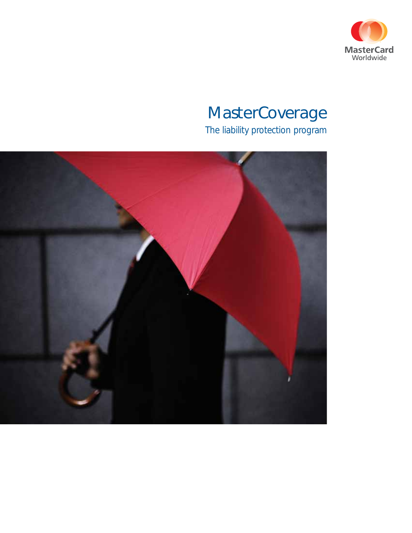

## **MasterCoverage**

The liability protection program

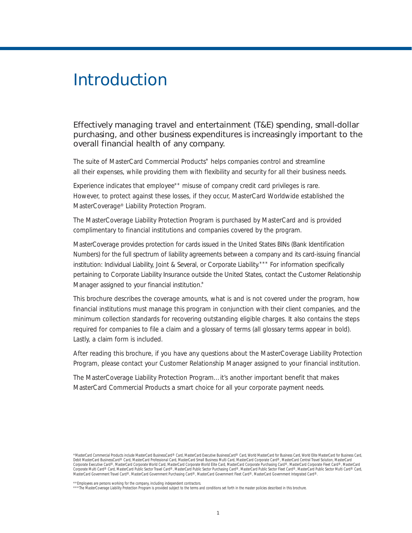## Introduction

#### *Effectively managing travel and entertainment (T&E) spending, small-dollar purchasing, and other business expenditures is increasingly important to the overall financial health of any company.*

The suite of MasterCard Commercial Products\* helps companies control and streamline all their expenses, while providing them with flexibility and security for all their business needs.

Experience indicates that employee<sup>\*\*</sup> misuse of company credit card privileges is rare. However, to protect against these losses, if they occur, MasterCard Worldwide established the MasterCoverage® Liability Protection Program.

The MasterCoverage Liability Protection Program is purchased by MasterCard and is provided complimentary to financial institutions and companies covered by the program.

MasterCoverage provides protection for cards issued in the United States BINs (Bank Identification Numbers) for the full spectrum of liability agreements between a company and its card-issuing financial institution: Individual Liability, Joint & Several, or Corporate Liability.\*\*\* For information specifically pertaining to Corporate Liability Insurance outside the United States, contact the Customer Relationship Manager assigned to your financial institution.\*

This brochure describes the coverage amounts, what is and is not covered under the program, how financial institutions must manage this program in conjunction with their client companies, and the minimum collection standards for recovering outstanding eligible charges. It also contains the steps required for companies to file a claim and a glossary of terms (all glossary terms appear in bold). Lastly, a claim form is included.

After reading this brochure, if you have any questions about the MasterCoverage Liability Protection Program, please contact your Customer Relationship Manager assigned to your financial institution.

The MasterCoverage Liability Protection Program…it's another important benefit that makes MasterCard Commercial Products a smart choice for all your corporate payment needs.

\*\*Employees are persons working for the company, including independent contractors.<br>\*\*\*The MasterCoverage Liability Protection Program is provided subject to the terms and conditions set forth in the master policies descri

<sup>\*</sup>MasterCard Commercial Products include MasterCard BusinessCard® Card, MasterCard Executive BusinessCard® Card, World MasterCard for Business Card, World Elite MasterCard for Business Card, Debit MasterCard BusinessCard® Card, MasterCard Professional Card, MasterCard Small Business Multi Card, MasterCard Corporate Card®, MasterCard Central Travel Solution, MasterCard<br>Corporate Executive Card®, MasterCard Corp Corporate Multi Card® Card, MasterCard Public Sector Travel Card®, MasterCard Public Sector Purchasing Card®, MasterCard Public Sector Fleet Card®, MasterCard Public Sector Multi Card® Card, MasterCard Government Travel Card®, MasterCard Government Purchasing Card®, MasterCard Government Fleet Card®, MasterCard Government Integrated Card®.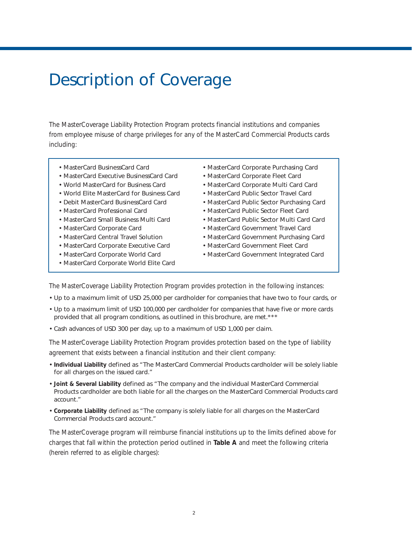## Description of Coverage

The MasterCoverage Liability Protection Program protects financial institutions and companies from employee misuse of charge privileges for any of the MasterCard Commercial Products cards including:

- MasterCard BusinessCard Card
- MasterCard Executive BusinessCard Card
- World MasterCard for Business Card
- World Elite MasterCard for Business Card
- Debit MasterCard BusinessCard Card
- MasterCard Professional Card
- MasterCard Small Business Multi Card
- MasterCard Corporate Card
- MasterCard Central Travel Solution
- MasterCard Corporate Executive Card
- MasterCard Corporate World Card
- MasterCard Corporate World Elite Card
- MasterCard Corporate Purchasing Card
- MasterCard Corporate Fleet Card
- MasterCard Corporate Multi Card Card
- MasterCard Public Sector Travel Card
- MasterCard Public Sector Purchasing Card
- MasterCard Public Sector Fleet Card
- MasterCard Public Sector Multi Card Card
- MasterCard Government Travel Card
- MasterCard Government Purchasing Card
- MasterCard Government Fleet Card
- MasterCard Government Integrated Card

The MasterCoverage Liability Protection Program provides protection in the following instances:

- Up to a maximum limit of USD 25,000 per cardholder for companies that have two to four cards, or
- Up to a maximum limit of USD 100,000 per cardholder for companies that have five or more cards provided that all program conditions, as outlined in this brochure, are met.\*\*\*
- Cash advances of USD 300 per day, up to a maximum of USD 1,000 per claim.

The MasterCoverage Liability Protection Program provides protection based on the type of liability agreement that exists between a financial institution and their client company:

- **Individual Liability** defined as "The MasterCard Commercial Products cardholder will be solely liable for all charges on the issued card."
- **Joint & Several Liability** defined as "The company and the individual MasterCard Commercial Products cardholder are both liable for all the charges on the MasterCard Commercial Products card account."
- **Corporate Liability** defined as "The company is solely liable for all charges on the MasterCard Commercial Products card account."

The MasterCoverage program will reimburse financial institutions up to the limits defined above for charges that fall within the protection period outlined in **Table A** and meet the following criteria (herein referred to as eligible charges):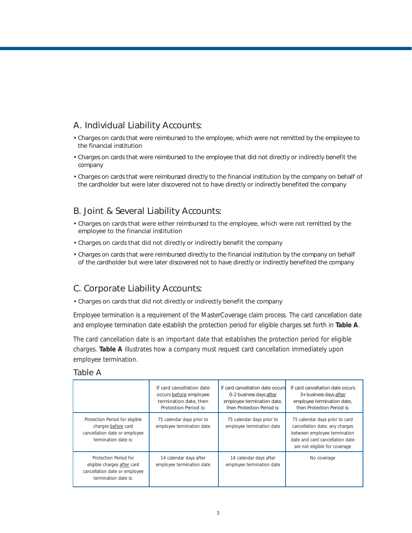#### A. Individual Liability Accounts:

- Charges on cards that were reimbursed to the employee, which were not remitted by the employee to the financial institution
- Charges on cards that were reimbursed to the employee that did not directly or indirectly benefit the company
- Charges on cards that were reimbursed directly to the financial institution by the company on behalf of the cardholder but were later discovered not to have directly or indirectly benefited the company

#### B. Joint & Several Liability Accounts:

- Charges on cards that were either reimbursed to the employee, which were not remitted by the employee to the financial institution
- Charges on cards that did not directly or indirectly benefit the company
- Charges on cards that were reimbursed directly to the financial institution by the company on behalf of the cardholder but were later discovered not to have directly or indirectly benefited the company

#### C. Corporate Liability Accounts:

• Charges on cards that did not directly or indirectly benefit the company

Employee termination is a requirement of the MasterCoverage claim process. The card cancellation date and employee termination date establish the protection period for eligible charges set forth in **Table A**.

The card cancellation date is an important date that establishes the protection period for eligible charges. **Table A** illustrates how a company must request card cancellation immediately upon employee termination.

| Table A |
|---------|
|---------|

|                                                                                                                | If card cancellation date<br>occurs before employee<br>termination date, then<br>Protection Period is: | If card cancellation date occurs<br>0-2 business days after<br>employee termination date,<br>then Protection Period is: | If card cancellation date occurs<br>3+ business days after<br>employee termination date,<br>then Protection Period is:                                               |
|----------------------------------------------------------------------------------------------------------------|--------------------------------------------------------------------------------------------------------|-------------------------------------------------------------------------------------------------------------------------|----------------------------------------------------------------------------------------------------------------------------------------------------------------------|
| Protection Period for eligible<br>charges before card<br>cancellation date or employee<br>termination date is: | 75 calendar days prior to<br>employee termination date                                                 | 75 calendar days prior to<br>employee termination date                                                                  | 75 calendar days prior to card<br>cancellation date; any charges<br>between employee termination<br>date and card cancellation date<br>are not eligible for coverage |
| Protection Period for<br>eligible charges after card<br>cancellation date or employee<br>termination date is:  | 14 calendar days after<br>employee termination date                                                    | 14 calendar days after<br>employee termination date                                                                     | No coverage                                                                                                                                                          |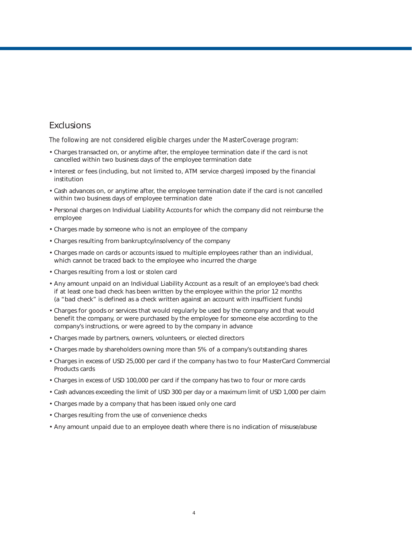#### Exclusions

The following are *not* considered eligible charges under the MasterCoverage program:

- Charges transacted on, or anytime after, the employee termination date if the card is not cancelled within two business days of the employee termination date
- Interest or fees (including, but not limited to, ATM service charges) imposed by the financial institution
- Cash advances on, or anytime after, the employee termination date if the card is not cancelled within two business days of employee termination date
- Personal charges on Individual Liability Accounts for which the company did not reimburse the employee
- Charges made by someone who is not an employee of the company
- Charges resulting from bankruptcy/insolvency of the company
- Charges made on cards or accounts issued to multiple employees rather than an individual, which cannot be traced back to the employee who incurred the charge
- Charges resulting from a lost or stolen card
- Any amount unpaid on an Individual Liability Account as a result of an employee's bad check if at least one bad check has been written by the employee within the prior 12 months (a "bad check" is defined as a check written against an account with insufficient funds)
- Charges for goods or services that would regularly be used by the company and that would benefit the company, or were purchased by the employee for someone else according to the company's instructions, or were agreed to by the company in advance
- Charges made by partners, owners, volunteers, or elected directors
- Charges made by shareholders owning more than 5% of a company's outstanding shares
- Charges in excess of USD 25,000 per card if the company has two to four MasterCard Commercial Products cards
- Charges in excess of USD 100,000 per card if the company has two to four or more cards
- Cash advances exceeding the limit of USD 300 per day or a maximum limit of USD 1,000 per claim
- Charges made by a company that has been issued only one card
- Charges resulting from the use of convenience checks
- Any amount unpaid due to an employee death where there is no indication of misuse/abuse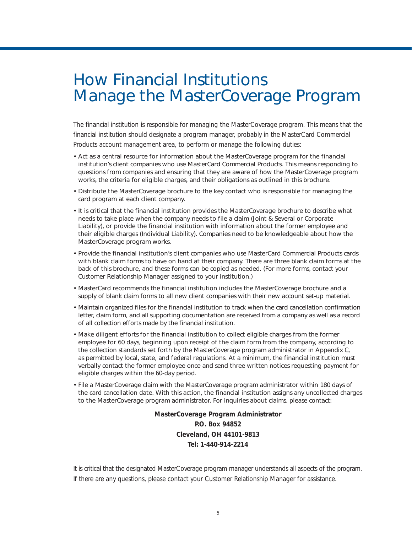## How Financial Institutions Manage the MasterCoverage Program

The financial institution is responsible for managing the MasterCoverage program. This means that the financial institution should designate a program manager, probably in the MasterCard Commercial Products account management area, to perform or manage the following duties:

- Act as a central resource for information about the MasterCoverage program for the financial institution's client companies who use MasterCard Commercial Products. This means responding to questions from companies and ensuring that they are aware of how the MasterCoverage program works, the criteria for eligible charges, and their obligations as outlined in this brochure.
- Distribute the MasterCoverage brochure to the key contact who is responsible for managing the card program at each client company.
- It is critical that the financial institution provides the MasterCoverage brochure to describe what needs to take place when the company needs to file a claim (Joint & Several or Corporate Liability), or provide the financial institution with information about the former employee and their eligible charges (Individual Liability). Companies need to be knowledgeable about how the MasterCoverage program works.
- Provide the financial institution's client companies who use MasterCard Commercial Products cards with blank claim forms to have on hand at their company. There are three blank claim forms at the back of this brochure, and these forms can be copied as needed. (For more forms, contact your Customer Relationship Manager assigned to your institution.)
- MasterCard recommends the financial institution includes the MasterCoverage brochure and a supply of blank claim forms to all new client companies with their new account set-up material.
- Maintain organized files for the financial institution to track when the card cancellation confirmation letter, claim form, and all supporting documentation are received from a company as well as a record of all collection efforts made by the financial institution.
- Make diligent efforts for the financial institution to collect eligible charges from the former employee for 60 days, beginning upon receipt of the claim form from the company, according to the collection standards set forth by the MasterCoverage program administrator in *Appendix C*, as permitted by local, state, and federal regulations. At a minimum, the financial institution must verbally contact the former employee once and send three written notices requesting payment for eligible charges within the 60-day period.
- File a MasterCoverage claim with the MasterCoverage program administrator within 180 days of the card cancellation date. With this action, the financial institution assigns any uncollected charges to the MasterCoverage program administrator. For inquiries about claims, please contact:

**MasterCoverage Program Administrator P.O. Box 94852 Cleveland, OH 44101-9813 Tel: 1-440-914-2214**

It is critical that the designated MasterCoverage program manager understands all aspects of the program. If there are any questions, please contact your Customer Relationship Manager for assistance.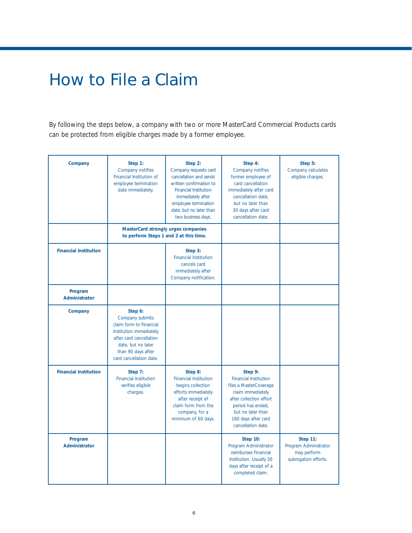## How to File a Claim

By following the steps below, a company with two or more MasterCard Commercial Products cards can be protected from eligible charges made by a former employee.

| Company                         | Step 1:<br>Company notifies<br>Financial Institution of<br>employee termination<br>date immediately.<br>MasterCard strongly urges companies                                        | Step 2:<br>Company requests card<br>cancellation and sends<br>written confirmation to<br><b>Financial Institution</b><br>immediately after<br>employee termination<br>date, but no later than<br>two business days. | Step 4:<br>Company notifies<br>former employee of<br>card cancellation<br>immediately after card<br>cancellation date.<br>but no later than<br>30 days after card<br>cancellation date.                  | Step 5:<br>Company calculates<br>eligible charges.                              |
|---------------------------------|------------------------------------------------------------------------------------------------------------------------------------------------------------------------------------|---------------------------------------------------------------------------------------------------------------------------------------------------------------------------------------------------------------------|----------------------------------------------------------------------------------------------------------------------------------------------------------------------------------------------------------|---------------------------------------------------------------------------------|
|                                 | to perform Steps 1 and 2 at this time.                                                                                                                                             |                                                                                                                                                                                                                     |                                                                                                                                                                                                          |                                                                                 |
| <b>Financial Institution</b>    |                                                                                                                                                                                    | Step 3:<br><b>Financial Institution</b><br>cancels card<br>immediately after<br>Company notification.                                                                                                               |                                                                                                                                                                                                          |                                                                                 |
| Program<br>Administrator        |                                                                                                                                                                                    |                                                                                                                                                                                                                     |                                                                                                                                                                                                          |                                                                                 |
| Company                         | Step 6:<br>Company submits<br>claim form to Financial<br>Institution immediately<br>after card cancellation<br>date, but no later<br>than 90 days after<br>card cancellation date. |                                                                                                                                                                                                                     |                                                                                                                                                                                                          |                                                                                 |
| <b>Financial Institution</b>    | Step 7:<br><b>Financial Institution</b><br>verifies eligible<br>charges.                                                                                                           | Step 8:<br><b>Financial Institution</b><br>begins collection<br>efforts immediately<br>after receipt of<br>claim form from the<br>company, for a<br>minimum of 60 days.                                             | Step 9:<br><b>Financial Institution</b><br>files a MasterCoverage<br>claim immediately<br>after collection effort<br>period has ended,<br>but no later than<br>180 days after card<br>cancellation date. |                                                                                 |
| Program<br><b>Administrator</b> |                                                                                                                                                                                    |                                                                                                                                                                                                                     | <b>Step 10:</b><br>Program Administrator<br>reimburses Financial<br>Institution. Usually 30<br>days after receipt of a<br>completed claim.                                                               | <b>Step 11:</b><br>Program Administrator<br>may perform<br>subrogation efforts. |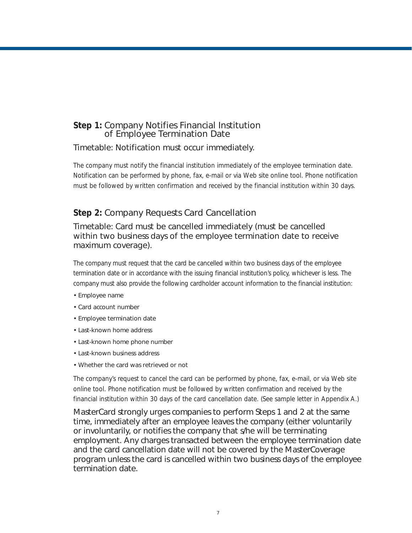#### **Step 1:** Company Notifies Financial Institution of Employee Termination Date

#### *Timetable: Notification must occur immediately.*

The company must notify the financial institution immediately of the employee termination date. Notification can be performed by phone, fax, e-mail or via Web site online tool. Phone notification must be followed by written confirmation and received by the financial institution within 30 days.

#### **Step 2:** Company Requests Card Cancellation

#### *Timetable: Card must be cancelled immediately (must be cancelled within two business days of the employee termination date to receive maximum coverage).*

The company must request that the card be cancelled within two business days of the employee termination date or in accordance with the issuing financial institution's policy, whichever is less. The company must also provide the following cardholder account information to the financial institution:

- Employee name
- Card account number
- Employee termination date
- Last-known home address
- Last-known home phone number
- Last-known business address
- Whether the card was retrieved or not

The company's request to cancel the card can be performed by phone, fax, e-mail, or via Web site online tool. Phone notification must be followed by written confirmation and received by the financial institution within 30 days of the card cancellation date. (See sample letter in *Appendix A.*)

*MasterCard strongly urges companies to perform Steps 1 and 2 at the same time, immediately after an employee leaves the company (either voluntarily or involuntarily, or notifies the company that s/he will be terminating employment. Any charges transacted between the employee termination date and the card cancellation date will not be covered by the MasterCoverage program unless the card is cancelled within two business days of the employee termination date.*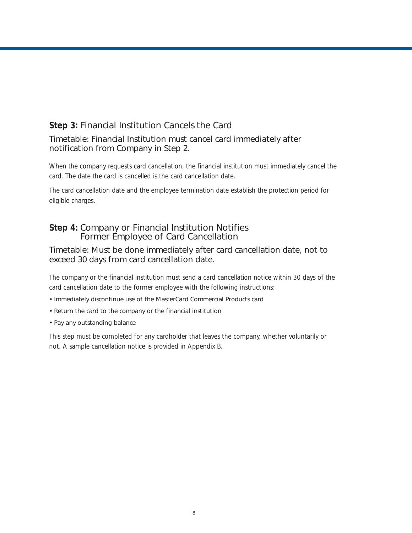#### **Step 3:** Financial Institution Cancels the Card

#### *Timetable: Financial Institution must cancel card immediately after notification from Company in Step 2.*

When the company requests card cancellation, the financial institution must immediately cancel the card. The date the card is cancelled is the card cancellation date.

The card cancellation date and the employee termination date establish the protection period for eligible charges.

#### **Step 4:** Company or Financial Institution Notifies Former Employee of Card Cancellation

#### *Timetable: Must be done immediately after card cancellation date, not to exceed 30 days from card cancellation date.*

The company or the financial institution must send a card cancellation notice within 30 days of the card cancellation date to the former employee with the following instructions:

- Immediately discontinue use of the MasterCard Commercial Products card
- Return the card to the company or the financial institution
- Pay any outstanding balance

This step must be completed for any cardholder that leaves the company, whether voluntarily or not. A sample cancellation notice is provided in *Appendix B*.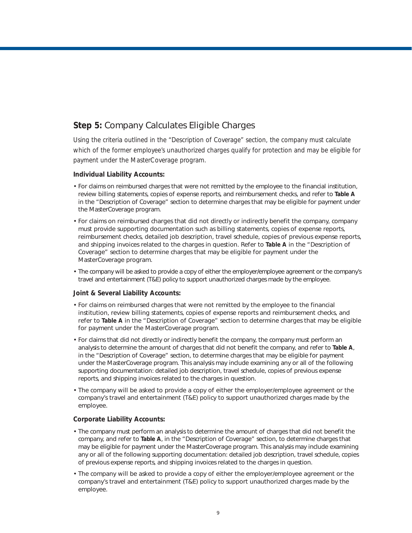#### **Step 5:** Company Calculates Eligible Charges

Using the criteria outlined in the *"Description of Coverage"* section, the company must calculate which of the former employee's unauthorized charges qualify for protection and may be eligible for payment under the MasterCoverage program.

#### **Individual Liability Accounts:**

- For claims on reimbursed charges that were not remitted by the employee to the financial institution, review billing statements, copies of expense reports, and reimbursement checks, and refer to **Table A** in the *"Description of Coverage"* section to determine charges that may be eligible for payment under the MasterCoverage program.
- For claims on reimbursed charges that did not directly or indirectly benefit the company, company must provide supporting documentation such as billing statements, copies of expense reports, reimbursement checks, detailed job description, travel schedule, copies of previous expense reports, and shipping invoices related to the charges in question. Refer to **Table A** in the *"Description of Coverage"* section to determine charges that may be eligible for payment under the MasterCoverage program.
- The company will be asked to provide a copy of either the employer/employee agreement or the company's travel and entertainment (T&E) policy to support unauthorized charges made by the employee.

#### **Joint & Several Liability Accounts:**

- For claims on reimbursed charges that were not remitted by the employee to the financial institution, review billing statements, copies of expense reports and reimbursement checks, and refer to **Table A** in the *"Description of Coverage"* section to determine charges that may be eligible for payment under the MasterCoverage program.
- For claims that did not directly or indirectly benefit the company, the company must perform an analysis to determine the amount of charges that did not benefit the company, and refer to **Table A**, in the *"Description of Coverage"* section, to determine charges that may be eligible for payment under the MasterCoverage program. This analysis may include examining any or all of the following supporting documentation: detailed job description, travel schedule, copies of previous expense reports, and shipping invoices related to the charges in question.
- The company will be asked to provide a copy of either the employer/employee agreement or the company's travel and entertainment (T&E) policy to support unauthorized charges made by the employee.

#### **Corporate Liability Accounts:**

- The company must perform an analysis to determine the amount of charges that did not benefit the company, and refer to **Table A**, in the *"Description of Coverage"* section, to determine charges that may be eligible for payment under the MasterCoverage program. This analysis may include examining any or all of the following supporting documentation: detailed job description, travel schedule, copies of previous expense reports, and shipping invoices related to the charges in question.
- The company will be asked to provide a copy of either the employer/employee agreement or the company's travel and entertainment (T&E) policy to support unauthorized charges made by the employee.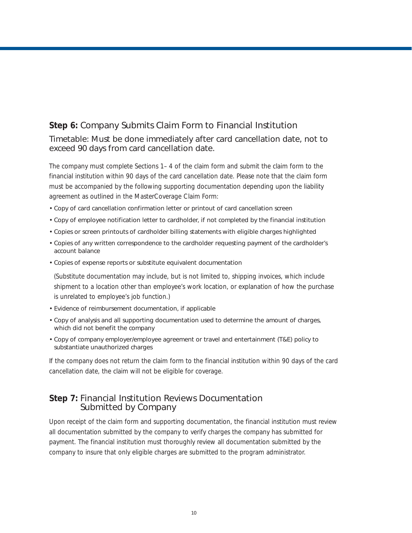#### **Step 6:** Company Submits Claim Form to Financial Institution

*Timetable: Must be done immediately after card cancellation date, not to exceed 90 days from card cancellation date.*

The company must complete Sections 1– 4 of the claim form and submit the claim form to the financial institution within 90 days of the card cancellation date. Please note that the claim form must be accompanied by the following supporting documentation depending upon the liability agreement as outlined in the MasterCoverage Claim Form:

- Copy of card cancellation confirmation letter or printout of card cancellation screen
- Copy of employee notification letter to cardholder, if not completed by the financial institution
- Copies or screen printouts of cardholder billing statements with eligible charges highlighted
- Copies of any written correspondence to the cardholder requesting payment of the cardholder's account balance
- Copies of expense reports or substitute equivalent documentation

*(Substitute documentation may include, but is not limited to, shipping invoices, which include shipment to a location other than employee's work location, or explanation of how the purchase is unrelated to employee's job function.)*

- Evidence of reimbursement documentation, if applicable
- Copy of analysis and all supporting documentation used to determine the amount of charges, which did not benefit the company
- Copy of company employer/employee agreement or travel and entertainment (T&E) policy to substantiate unauthorized charges

*If the company does not return the claim form to the financial institution within 90 days of the card cancellation date, the claim will not be eligible for coverage.* 

#### **Step 7:** Financial Institution Reviews Documentation Submitted by Company

Upon receipt of the claim form and supporting documentation, the financial institution must review all documentation submitted by the company to verify charges the company has submitted for payment. The financial institution must thoroughly review all documentation submitted by the company to insure that only eligible charges are submitted to the program administrator.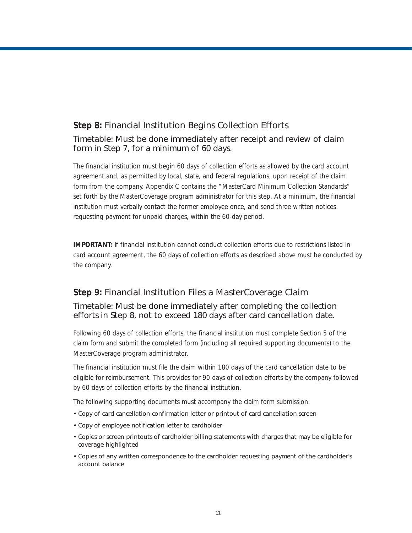#### **Step 8:** Financial Institution Begins Collection Efforts

#### *Timetable: Must be done immediately after receipt and review of claim form in Step 7, for a minimum of 60 days.*

The financial institution must begin 60 days of collection efforts as allowed by the card account agreement and, as permitted by local, state, and federal regulations, upon receipt of the claim form from the company. *Appendix C* contains the "MasterCard Minimum Collection Standards" set forth by the MasterCoverage program administrator for this step. At a minimum, the financial institution must verbally contact the former employee once, and send three written notices requesting payment for unpaid charges, within the 60-day period.

**IMPORTANT:** If financial institution cannot conduct collection efforts due to restrictions listed in card account agreement, the 60 days of collection efforts as described above must be conducted by the company.

#### **Step 9:** Financial Institution Files a MasterCoverage Claim

#### *Timetable: Must be done immediately after completing the collection efforts in Step 8, not to exceed 180 days after card cancellation date.*

Following 60 days of collection efforts, the financial institution must complete Section 5 of the claim form and submit the completed form (including all required supporting documents) to the MasterCoverage program administrator.

*The financial institution must file the claim within 180 days of the card cancellation date to be eligible for reimbursement. This provides for 90 days of collection efforts by the company followed by 60 days of collection efforts by the financial institution.* 

The following supporting documents must accompany the claim form submission:

- Copy of card cancellation confirmation letter or printout of card cancellation screen
- Copy of employee notification letter to cardholder
- Copies or screen printouts of cardholder billing statements with charges that may be eligible for coverage highlighted
- Copies of any written correspondence to the cardholder requesting payment of the cardholder's account balance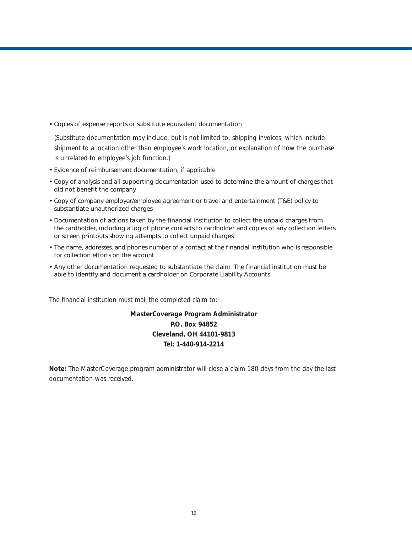• Copies of expense reports or substitute equivalent documentation

*(Substitute documentation may include, but is not limited to, shipping invoices, which include shipment to a location other than employee's work location, or explanation of how the purchase is unrelated to employee's job function.)*

- Evidence of reimbursement documentation, if applicable
- Copy of analysis and all supporting documentation used to determine the amount of charges that did not benefit the company
- Copy of company employer/employee agreement or travel and entertainment (T&E) policy to substantiate unauthorized charges
- Documentation of actions taken by the financial institution to collect the unpaid charges from the cardholder, including a log of phone contacts to cardholder and copies of any collection letters or screen printouts showing attempts to collect unpaid charges
- The name, addresses, and phones number of a contact at the financial institution who is responsible for collection efforts on the account
- Any other documentation requested to substantiate the claim. The financial institution must be able to identify and document a cardholder on Corporate Liability Accounts

The financial institution must mail the completed claim to:

#### **MasterCoverage Program Administrator P.O. Box 94852 Cleveland, OH 44101-9813 Tel: 1-440-914-2214**

**Note:** The MasterCoverage program administrator will close a claim 180 days from the day the last documentation was received.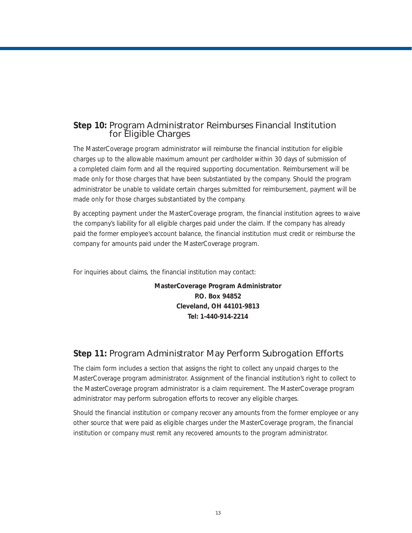#### **Step 10:** Program Administrator Reimburses Financial Institution for Eligible Charges

The MasterCoverage program administrator will reimburse the financial institution for eligible charges up to the allowable maximum amount per cardholder within 30 days of submission of a completed claim form and all the required supporting documentation. Reimbursement will be made only for those charges that have been substantiated by the company. Should the program administrator be unable to validate certain charges submitted for reimbursement, payment will be made only for those charges substantiated by the company.

By accepting payment under the MasterCoverage program, the financial institution agrees to waive the company's liability for all eligible charges paid under the claim. If the company has already paid the former employee's account balance, the financial institution must credit or reimburse the company for amounts paid under the MasterCoverage program.

For inquiries about claims, the financial institution may contact:

**MasterCoverage Program Administrator P.O. Box 94852 Cleveland, OH 44101-9813 Tel: 1-440-914-2214** 

#### **Step 11:** Program Administrator May Perform Subrogation Efforts

The claim form includes a section that assigns the right to collect any unpaid charges to the MasterCoverage program administrator. Assignment of the financial institution's right to collect to the MasterCoverage program administrator is a claim requirement. The MasterCoverage program administrator may perform subrogation efforts to recover any eligible charges.

Should the financial institution or company recover any amounts from the former employee or any other source that were paid as eligible charges under the MasterCoverage program, the financial institution or company must remit any recovered amounts to the program administrator.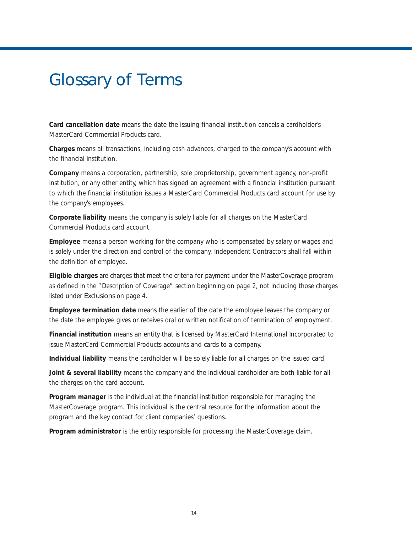## Glossary of Terms

**Card cancellation date** means the date the issuing financial institution cancels a cardholder's MasterCard Commercial Products card.

**Charges** means all transactions, including cash advances, charged to the company's account with the financial institution.

**Company** means a corporation, partnership, sole proprietorship, government agency, non-profit institution, or any other entity, which has signed an agreement with a financial institution pursuant to which the financial institution issues a MasterCard Commercial Products card account for use by the company's employees.

**Corporate liability** means the company is solely liable for all charges on the MasterCard Commercial Products card account.

**Employee** means a person working for the company who is compensated by salary or wages and is solely under the direction and control of the company. Independent Contractors shall fall within the definition of employee.

**Eligible charges** are charges that meet the criteria for payment under the MasterCoverage program as defined in the "Description of Coverage" section beginning on page 2, not including those charges listed under Exclusions on page 4.

**Employee termination date** means the earlier of the date the employee leaves the company or the date the employee gives or receives oral or written notification of termination of employment.

**Financial institution** means an entity that is licensed by MasterCard International Incorporated to issue MasterCard Commercial Products accounts and cards to a company.

**Individual liability** means the cardholder will be solely liable for all charges on the issued card.

**Joint & several liability** means the company and the individual cardholder are both liable for all the charges on the card account.

**Program manager** is the individual at the financial institution responsible for managing the MasterCoverage program. This individual is the central resource for the information about the program and the key contact for client companies' questions.

**Program administrator** is the entity responsible for processing the MasterCoverage claim.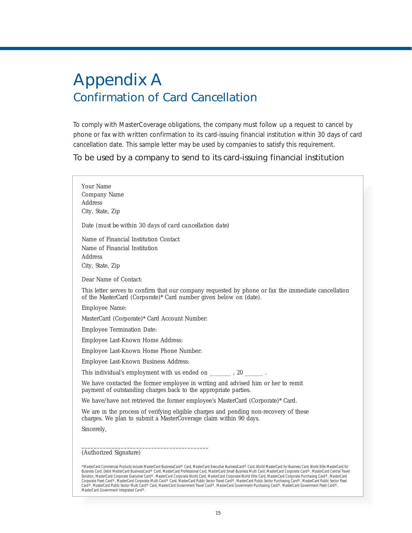## Appendix A Confirmation of Card Cancellation

To comply with MasterCoverage obligations, the company must follow up a request to cancel by phone or fax with written confirmation to its card-issuing financial institution within 30 days of card cancellation date. This sample letter may be used by companies to satisfy this requirement.

*To be used by a company to send to its card-issuing financial institution*

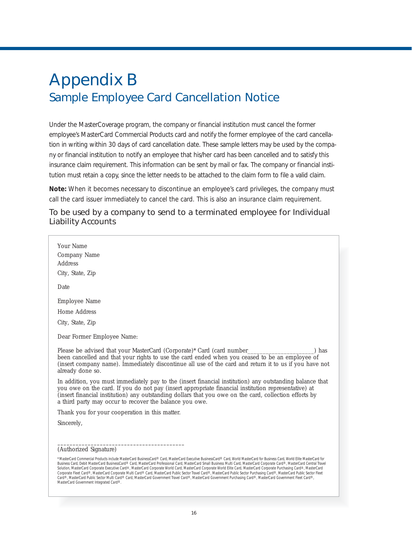## Appendix B Sample Employee Card Cancellation Notice

Under the MasterCoverage program, the company or financial institution must cancel the former employee's MasterCard Commercial Products card and notify the former employee of the card cancellation in writing within 30 days of card cancellation date. These sample letters may be used by the company or financial institution to notify an employee that his/her card has been cancelled and to satisfy this insurance claim requirement. This information can be sent by mail or fax. The company or financial institution must retain a copy, since the letter needs to be attached to the claim form to file a valid claim.

**Note:** When it becomes necessary to discontinue an employee's card privileges, the company must call the card issuer immediately to cancel the card. This is also an insurance claim requirement.

#### *To be used by a company to send to a terminated employee for Individual Liability Accounts*

| Your Name                                                                                                                                                                                                                                                                                                                                                                                                                                                                                                                                                                                                                                                                                                                                                                                                                                                                                                                                     |
|-----------------------------------------------------------------------------------------------------------------------------------------------------------------------------------------------------------------------------------------------------------------------------------------------------------------------------------------------------------------------------------------------------------------------------------------------------------------------------------------------------------------------------------------------------------------------------------------------------------------------------------------------------------------------------------------------------------------------------------------------------------------------------------------------------------------------------------------------------------------------------------------------------------------------------------------------|
| Company Name                                                                                                                                                                                                                                                                                                                                                                                                                                                                                                                                                                                                                                                                                                                                                                                                                                                                                                                                  |
| Address                                                                                                                                                                                                                                                                                                                                                                                                                                                                                                                                                                                                                                                                                                                                                                                                                                                                                                                                       |
| City, State, Zip                                                                                                                                                                                                                                                                                                                                                                                                                                                                                                                                                                                                                                                                                                                                                                                                                                                                                                                              |
|                                                                                                                                                                                                                                                                                                                                                                                                                                                                                                                                                                                                                                                                                                                                                                                                                                                                                                                                               |
| Date                                                                                                                                                                                                                                                                                                                                                                                                                                                                                                                                                                                                                                                                                                                                                                                                                                                                                                                                          |
| Employee Name                                                                                                                                                                                                                                                                                                                                                                                                                                                                                                                                                                                                                                                                                                                                                                                                                                                                                                                                 |
| Home Address                                                                                                                                                                                                                                                                                                                                                                                                                                                                                                                                                                                                                                                                                                                                                                                                                                                                                                                                  |
| City, State, Zip                                                                                                                                                                                                                                                                                                                                                                                                                                                                                                                                                                                                                                                                                                                                                                                                                                                                                                                              |
| Dear Former Employee Name:                                                                                                                                                                                                                                                                                                                                                                                                                                                                                                                                                                                                                                                                                                                                                                                                                                                                                                                    |
| ) has<br>been cancelled and that your rights to use the card ended when you ceased to be an employee of<br>(insert company name). Immediately discontinue all use of the card and return it to us if you have not<br>already done so.                                                                                                                                                                                                                                                                                                                                                                                                                                                                                                                                                                                                                                                                                                         |
| In addition, you must immediately pay to the (insert financial institution) any outstanding balance that<br>you owe on the card. If you do not pay (insert appropriate financial institution representative) at<br>(insert financial institution) any outstanding dollars that you owe on the card, collection efforts by<br>a third party may occur to recover the balance you owe.                                                                                                                                                                                                                                                                                                                                                                                                                                                                                                                                                          |
| Thank you for your cooperation in this matter.                                                                                                                                                                                                                                                                                                                                                                                                                                                                                                                                                                                                                                                                                                                                                                                                                                                                                                |
| Sincerely,                                                                                                                                                                                                                                                                                                                                                                                                                                                                                                                                                                                                                                                                                                                                                                                                                                                                                                                                    |
|                                                                                                                                                                                                                                                                                                                                                                                                                                                                                                                                                                                                                                                                                                                                                                                                                                                                                                                                               |
|                                                                                                                                                                                                                                                                                                                                                                                                                                                                                                                                                                                                                                                                                                                                                                                                                                                                                                                                               |
| (Authorized Signature)                                                                                                                                                                                                                                                                                                                                                                                                                                                                                                                                                                                                                                                                                                                                                                                                                                                                                                                        |
| *MasterCard Commercial Products include MasterCard BusinessCard® Card, MasterCard Executive BusinessCard® Card, World MasterCard for Business Card, World Elite MasterCard for<br>Business Card, Debit MasterCard BusinessCard® Card, MasterCard Professional Card, MasterCard Small Business Multi Card, MasterCard Corporate Card®, MasterCard Central Travel<br>Solution, MasterCard Corporate Executive Card®, MasterCard Corporate World Card, MasterCard Corporate World Elite Card, MasterCard Corporate Purchasing Card®, MasterCard<br>Corporate Fleet Card®, MasterCard Corporate Multi Card® Card, MasterCard Public Sector Travel Card®, MasterCard Public Sector Purchasing Card®, MasterCard Public Sector Fleet<br>Card®, MasterCard Public Sector Multi Card® Card, MasterCard Government Travel Card®, MasterCard Government Purchasing Card®, MasterCard Government Fleet Card®,<br>MasterCard Government Integrated Card®. |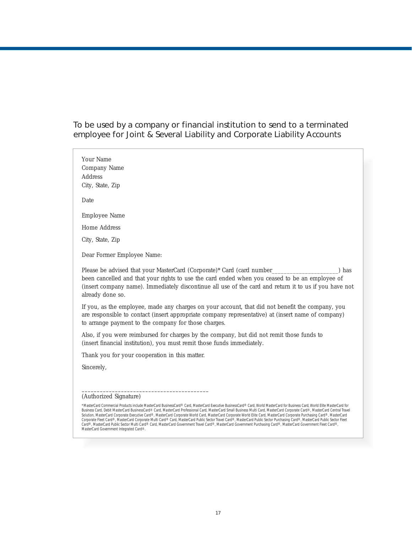*To be used by a company or financial institution to send to a terminated employee for Joint & Several Liability and Corporate Liability Accounts* 

Your Name Company Name Address City, State, Zip Date Employee Name Home Address City, State, Zip Dear Former Employee Name: Please be advised that your MasterCard (Corporate)\* Card (card number\_\_\_\_\_\_\_\_\_\_\_\_\_\_\_\_\_\_\_) has been cancelled and that your rights to use the card ended when you ceased to be an employee of (insert company name). Immediately discontinue all use of the card and return it to us if you have not already done so. If you, as the employee, made any charges on your account, that did not benefit the company, you are responsible to contact (insert appropriate company representative) at (insert name of company) to arrange payment to the company for those charges. Also, if you were reimbursed for charges by the company, but did not remit those funds to (insert financial institution), you must remit those funds immediately. Thank you for your cooperation in this matter. Sincerely, –––––––––––––––––––––––––––––––––––––––––– (Authorized Signature) \*MasterCard Commercial Products include MasterCard BusinessCard® Card, MasterCard Executive BusinessCard® Card, World MasterCard for Business Card, World Elite MasterCard for

Business Card, Debit MasterCard BusinessCard® Card, MasterCard Professional Card, MasterCard Small Business Multi Card, MasterCard Corporate Card®, MasterCard Central Travel<br>Solution, MasterCard Corporate Executive Card® C MasterCard Government Integrated Card®.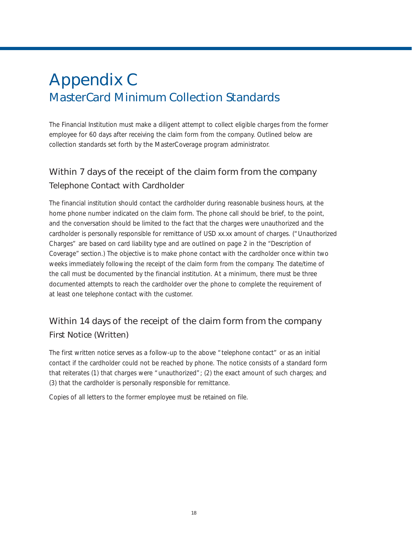## Appendix C MasterCard Minimum Collection Standards

The Financial Institution must make a diligent attempt to collect eligible charges from the former employee for 60 days after receiving the claim form from the company. Outlined below are collection standards set forth by the MasterCoverage program administrator.

#### Within 7 days of the receipt of the claim form from the company *Telephone Contact with Cardholder*

The financial institution should contact the cardholder during reasonable business hours, at the home phone number indicated on the claim form. The phone call should be brief, to the point, and the conversation should be limited to the fact that the charges were unauthorized and the cardholder is personally responsible for remittance of USD xx.xx amount of charges. ("Unauthorized Charges" are based on card liability type and are outlined on page 2 in the *"Description of Coverage"* section.) The objective is to make phone contact with the cardholder once within two weeks immediately following the receipt of the claim form from the company. The date/time of the call must be documented by the financial institution. At a minimum, there must be three documented attempts to reach the cardholder over the phone to complete the requirement of at least one telephone contact with the customer.

#### Within 14 days of the receipt of the claim form from the company *First Notice (Written)*

The first written notice serves as a follow-up to the above "telephone contact" or as an initial contact if the cardholder could not be reached by phone. The notice consists of a standard form that reiterates (1) that charges were "unauthorized"; (2) the exact amount of such charges; and (3) that the cardholder is personally responsible for remittance.

Copies of all letters to the former employee must be retained on file.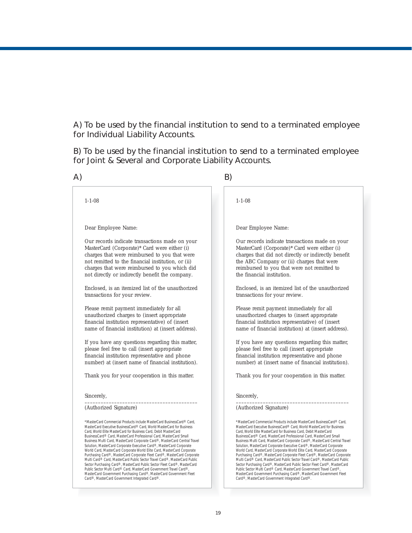*A) To be used by the financial institution to send to a terminated employee for Individual Liability Accounts.* 

*B) To be used by the financial institution to send to a terminated employee for Joint & Several and Corporate Liability Accounts.* 

|                                                                                                                                                                                                                                                                                                                                                                                                                                                                                                                                                                                                                                                                                                                                                                                                                                                                                                                                                                    | B)                                                                                                                                                                                                                                                                                                                                                                                                                                                                                                                                                                                                                                                                                                                                                                                                                                                                                                                                                                 |
|--------------------------------------------------------------------------------------------------------------------------------------------------------------------------------------------------------------------------------------------------------------------------------------------------------------------------------------------------------------------------------------------------------------------------------------------------------------------------------------------------------------------------------------------------------------------------------------------------------------------------------------------------------------------------------------------------------------------------------------------------------------------------------------------------------------------------------------------------------------------------------------------------------------------------------------------------------------------|--------------------------------------------------------------------------------------------------------------------------------------------------------------------------------------------------------------------------------------------------------------------------------------------------------------------------------------------------------------------------------------------------------------------------------------------------------------------------------------------------------------------------------------------------------------------------------------------------------------------------------------------------------------------------------------------------------------------------------------------------------------------------------------------------------------------------------------------------------------------------------------------------------------------------------------------------------------------|
| $1 - 1 - 08$                                                                                                                                                                                                                                                                                                                                                                                                                                                                                                                                                                                                                                                                                                                                                                                                                                                                                                                                                       | $1 - 1 - 08$                                                                                                                                                                                                                                                                                                                                                                                                                                                                                                                                                                                                                                                                                                                                                                                                                                                                                                                                                       |
| Dear Employee Name:                                                                                                                                                                                                                                                                                                                                                                                                                                                                                                                                                                                                                                                                                                                                                                                                                                                                                                                                                | Dear Employee Name:                                                                                                                                                                                                                                                                                                                                                                                                                                                                                                                                                                                                                                                                                                                                                                                                                                                                                                                                                |
| Our records indicate transactions made on your<br>MasterCard (Corporate)* Card were either (i)<br>charges that were reimbursed to you that were<br>not remitted to the financial institution, or (ii)<br>charges that were reimbursed to you which did<br>not directly or indirectly benefit the company.                                                                                                                                                                                                                                                                                                                                                                                                                                                                                                                                                                                                                                                          | Our records indicate transactions made on your<br>MasterCard (Corporate)* Card were either (i)<br>charges that did not directly or indirectly benefit<br>the ABC Company or (ii) charges that were<br>reimbursed to you that were not remitted to<br>the financial institution.                                                                                                                                                                                                                                                                                                                                                                                                                                                                                                                                                                                                                                                                                    |
| Enclosed, is an itemized list of the unauthorized<br>transactions for your review.                                                                                                                                                                                                                                                                                                                                                                                                                                                                                                                                                                                                                                                                                                                                                                                                                                                                                 | Enclosed, is an itemized list of the unauthorized<br>transactions for your review.                                                                                                                                                                                                                                                                                                                                                                                                                                                                                                                                                                                                                                                                                                                                                                                                                                                                                 |
| Please remit payment immediately for all<br>unauthorized charges to (insert appropriate<br>financial institution representative) of (insert<br>name of financial institution) at (insert address).                                                                                                                                                                                                                                                                                                                                                                                                                                                                                                                                                                                                                                                                                                                                                                 | Please remit payment immediately for all<br>unauthorized charges to (insert appropriate<br>financial institution representative) of (insert<br>name of financial institution) at (insert address).                                                                                                                                                                                                                                                                                                                                                                                                                                                                                                                                                                                                                                                                                                                                                                 |
| If you have any questions regarding this matter,<br>please feel free to call (insert appropriate<br>financial institution representative and phone<br>number) at (insert name of financial institution).                                                                                                                                                                                                                                                                                                                                                                                                                                                                                                                                                                                                                                                                                                                                                           | If you have any questions regarding this matter,<br>please feel free to call (insert appropriate<br>financial institution representative and phone<br>number) at (insert name of financial institution).                                                                                                                                                                                                                                                                                                                                                                                                                                                                                                                                                                                                                                                                                                                                                           |
| Thank you for your cooperation in this matter.                                                                                                                                                                                                                                                                                                                                                                                                                                                                                                                                                                                                                                                                                                                                                                                                                                                                                                                     | Thank you for your cooperation in this matter.                                                                                                                                                                                                                                                                                                                                                                                                                                                                                                                                                                                                                                                                                                                                                                                                                                                                                                                     |
| Sincerely,                                                                                                                                                                                                                                                                                                                                                                                                                                                                                                                                                                                                                                                                                                                                                                                                                                                                                                                                                         | Sincerely,                                                                                                                                                                                                                                                                                                                                                                                                                                                                                                                                                                                                                                                                                                                                                                                                                                                                                                                                                         |
| (Authorized Signature)                                                                                                                                                                                                                                                                                                                                                                                                                                                                                                                                                                                                                                                                                                                                                                                                                                                                                                                                             | (Authorized Signature)                                                                                                                                                                                                                                                                                                                                                                                                                                                                                                                                                                                                                                                                                                                                                                                                                                                                                                                                             |
| *MasterCard Commercial Products include MasterCard BusinessCard® Card,<br>MasterCard Executive BusinessCard® Card, World MasterCard for Business<br>Card, World Elite MasterCard for Business Card, Debit MasterCard<br>BusinessCard® Card, MasterCard Professional Card, MasterCard Small<br>Business Multi Card, MasterCard Corporate Card®, MasterCard Central Travel<br>Solution, MasterCard Corporate Executive Card®, MasterCard Corporate<br>World Card, MasterCard Corporate World Elite Card, MasterCard Corporate<br>Purchasing Card®, MasterCard Corporate Fleet Card®, MasterCard Corporate<br>Multi Card® Card, MasterCard Public Sector Travel Card®, MasterCard Public<br>Sector Purchasing Card®, MasterCard Public Sector Fleet Card®, MasterCard<br>Public Sector Multi Card® Card, MasterCard Government Travel Card®,<br>MasterCard Government Purchasing Card®, MasterCard Government Fleet<br>Card®, MasterCard Government Integrated Card®. | *MasterCard Commercial Products include MasterCard BusinessCard® Card,<br>MasterCard Executive BusinessCard® Card, World MasterCard for Business<br>Card, World Elite MasterCard for Business Card, Debit MasterCard<br>BusinessCard® Card, MasterCard Professional Card, MasterCard Small<br>Business Multi Card, MasterCard Corporate Card®, MasterCard Central Travel<br>Solution, MasterCard Corporate Executive Card®, MasterCard Corporate<br>World Card, MasterCard Corporate World Elite Card, MasterCard Corporate<br>Purchasing Card®, MasterCard Corporate Fleet Card®, MasterCard Corporate<br>Multi Card® Card, MasterCard Public Sector Travel Card®, MasterCard Public<br>Sector Purchasing Card®, MasterCard Public Sector Fleet Card®, MasterCard<br>Public Sector Multi Card® Card, MasterCard Government Travel Card®,<br>MasterCard Government Purchasing Card®, MasterCard Government Fleet<br>Card®, MasterCard Government Integrated Card®. |

19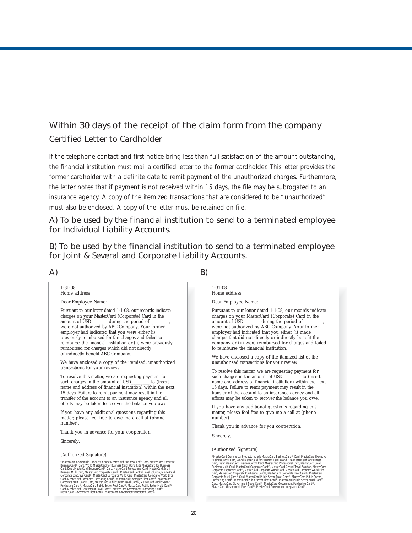#### Within 30 days of the receipt of the claim form from the company *Certified Letter to Cardholder*

If the telephone contact and first notice bring less than full satisfaction of the amount outstanding, the financial institution must mail a certified letter to the former cardholder. This letter provides the former cardholder with a definite date to remit payment of the unauthorized charges. Furthermore, the letter notes that if payment is not received within 15 days, the file may be subrogated to an insurance agency. A copy of the itemized transactions that are considered to be "unauthorized" must also be enclosed. A copy of the letter must be retained on file.

#### *A) To be used by the financial institution to send to a terminated employee for Individual Liability Accounts.*

*B) To be used by the financial institution to send to a terminated employee for Joint & Several and Corporate Liability Accounts.* 

#### *A) B)*

#### 1-31-08 Home address Dear Employee Name: Pursuant to our letter dated 1-1-08, our records indicate charges on your MasterCard (Corporate) Card in the  $\equiv$  during the period of were not authorized by ABC Company. Your former employer had indicated that you were either (i) previously reimbursed for the charges and failed to reimburse the financial institution or (ii) were previously reimbursed for charges which did not directly or indirectly benefit ABC Company. We have enclosed a copy of the itemized, unauthorized transactions for your review. To resolve this matter, we are requesting payment for such charges in the amount of USD\_ name and address of financial institution) within the next 15 days. Failure to remit payment may result in the transfer of the account to an insurance agency and all efforts may be taken to recover the balance you owe. If you have any additional questions regarding this matter, please feel free to give me a call at (phone number). Thank you in advance for your cooperation Sincerely, –––––––––––––––––––––––––––––––––––––––––– (Authorized Signature) "MasterCard Commercial Products include MasterCard Busines:Card'e Card, MasterCard Executive<br>BusinessCard® Card, World MasterCard for Business Card, World Elite MasterCard for Business<br>Card, Debit MasterCard BusinessCard®

#### 1-31-08 Home address

Dear Employee Name:

Pursuant to our letter dated 1-1-08, our records indicate charges on your MasterCard (Corporate) Card in the amount of USD\_\_\_\_\_\_ during the period of  $\equiv$  during the period of were not authorized by ABC Company. Your former employer had indicated that you either (i) made charges that did not directly or indirectly benefit the company or (ii) were reimbursed for charges and failed to reimburse the financial institution.

We have enclosed a copy of the itemized list of the unauthorized transactions for your review.

To resolve this matter, we are requesting payment for such charges in the amount of USD to (insert such charges in the amount of USD\_ name and address of financial institution) within the next 15 days. Failure to remit payment may result in the transfer of the account to an insurance agency and all efforts may be taken to recover the balance you owe.

If you have any additional questions regarding this matter, please feel free to give me a call at (phone number).

Thank you in advance for you cooperation.

Sincerely,

#### –––––––––––––––––––––––––––––––––––––––––– (Authorized Signature)

"MasterCard Commercial Products include MasterCard Busines:Card'e Card, MasterCard Executive<br>BusinessCard® Card, World MasterCard for Business Card, World Elite MasterCard Executive<br>Card, Debti MasterCard BusinessCard® Car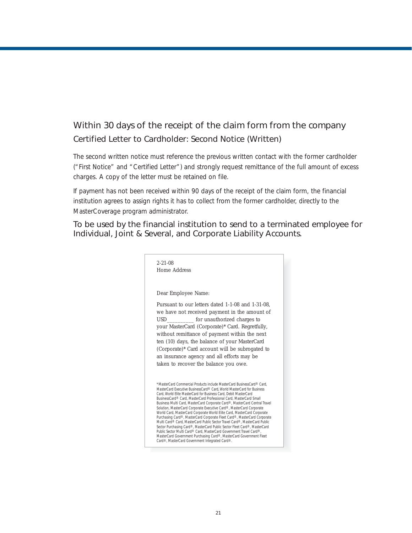#### Within 30 days of the receipt of the claim form from the company *Certified Letter to Cardholder: Second Notice (Written)*

The second written notice must reference the previous written contact with the former cardholder ("First Notice" and "Certified Letter") and strongly request remittance of the full amount of excess charges. A copy of the letter must be retained on file.

*If payment has not been received within 90 days of the receipt of the claim form,* the financial institution agrees to assign rights it has to collect from the former cardholder, directly to the MasterCoverage program administrator.

#### *To be used by the financial institution to send to a terminated employee for Individual, Joint & Several, and Corporate Liability Accounts.*

| $2 - 21 - 08$ |                                                                                                                                                                                                                                                                                                                                                                                                                                                              |
|---------------|--------------------------------------------------------------------------------------------------------------------------------------------------------------------------------------------------------------------------------------------------------------------------------------------------------------------------------------------------------------------------------------------------------------------------------------------------------------|
|               | Home Address                                                                                                                                                                                                                                                                                                                                                                                                                                                 |
|               |                                                                                                                                                                                                                                                                                                                                                                                                                                                              |
|               | Dear Employee Name:                                                                                                                                                                                                                                                                                                                                                                                                                                          |
|               | Pursuant to our letters dated 1-1-08 and 1-31-08.                                                                                                                                                                                                                                                                                                                                                                                                            |
|               | we have not received payment in the amount of<br>USD for unauthorized charges to                                                                                                                                                                                                                                                                                                                                                                             |
|               | your MasterCard (Corporate)* Card. Regretfully,                                                                                                                                                                                                                                                                                                                                                                                                              |
|               | without remittance of payment within the next                                                                                                                                                                                                                                                                                                                                                                                                                |
|               | ten (10) days, the balance of your MasterCard                                                                                                                                                                                                                                                                                                                                                                                                                |
|               | (Corporate)* Card account will be subrogated to                                                                                                                                                                                                                                                                                                                                                                                                              |
|               | an insurance agency and all efforts may be                                                                                                                                                                                                                                                                                                                                                                                                                   |
|               | taken to recover the balance you owe.                                                                                                                                                                                                                                                                                                                                                                                                                        |
|               |                                                                                                                                                                                                                                                                                                                                                                                                                                                              |
|               | *MasterCard Commercial Products include MasterCard BusinessCard® Card.<br>MasterCard Executive BusinessCard® Card. World MasterCard for Business<br>Card, World Elite MasterCard for Business Card, Debit MasterCard<br>BusinessCard® Card, MasterCard Professional Card, MasterCard Small<br>Business Multi Card, MasterCard Corporate Card®, MasterCard Central Travel<br>Solution, MasterCard Corporate Executive Card®, MasterCard Corporate             |
|               | World Card, MasterCard Corporate World Elite Card, MasterCard Corporate<br>Purchasing Card®, MasterCard Corporate Fleet Card®, MasterCard Corporate<br>Multi Card® Card, MasterCard Public Sector Travel Card®, MasterCard Public<br>Sector Purchasing Card®, MasterCard Public Sector Fleet Card®, MasterCard<br>Public Sector Multi Card® Card, MasterCard Government Travel Card®,<br>MasterCard Government Purchasing Card®, MasterCard Government Fleet |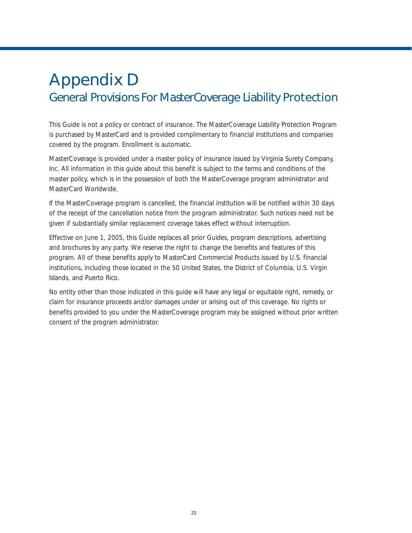## Appendix D General Provisions For MasterCoverage Liability Protection

This Guide is not a policy or contract of insurance. The MasterCoverage Liability Protection Program is purchased by MasterCard and is provided complimentary to financial institutions and companies covered by the program. Enrollment is automatic.

MasterCoverage is provided under a master policy of insurance issued by Virginia Surety Company, Inc. All information in this guide about this benefit is subject to the terms and conditions of the master policy, which is in the possession of both the MasterCoverage program administrator and MasterCard Worldwide.

If the MasterCoverage program is cancelled, the financial institution will be notified within 30 days of the receipt of the cancellation notice from the program administrator. Such notices need not be given if substantially similar replacement coverage takes effect without interruption.

Effective on June 1, 2005, this Guide replaces all prior Guides, program descriptions, advertising and brochures by any party. We reserve the right to change the benefits and features of this program. All of these benefits apply to MasterCard Commercial Products issued by U.S. financial institutions, including those located in the 50 United States, the District of Columbia, U.S. Virgin Islands, and Puerto Rico.

No entity other than those indicated in this guide will have any legal or equitable right, remedy, or claim for insurance proceeds and/or damages under or arising out of this coverage. No rights or benefits provided to you under the MasterCoverage program may be assigned without prior written consent of the program administrator.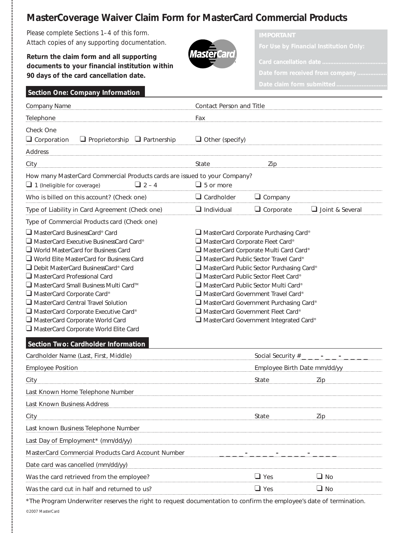### **MasterCoverage Waiver Claim Form for MasterCard Commercial Products**

Please complete Sections 1–4 of this form. Attach copies of any supporting documentation.

**Return the claim form and all supporting documents to your financial institution within 90 days of the card cancellation date.**

*Section One: Company Information*



| Company Name                                                                                                                                                                                                                                                                                                                                                                                                                                                                                         | Contact Person and Title                                                                                                                                                                                                                                                                                                                                                                                                                                                                              |                                 |                 |
|------------------------------------------------------------------------------------------------------------------------------------------------------------------------------------------------------------------------------------------------------------------------------------------------------------------------------------------------------------------------------------------------------------------------------------------------------------------------------------------------------|-------------------------------------------------------------------------------------------------------------------------------------------------------------------------------------------------------------------------------------------------------------------------------------------------------------------------------------------------------------------------------------------------------------------------------------------------------------------------------------------------------|---------------------------------|-----------------|
| Telephone                                                                                                                                                                                                                                                                                                                                                                                                                                                                                            | Fax                                                                                                                                                                                                                                                                                                                                                                                                                                                                                                   |                                 |                 |
| Check One<br>$\Box$ Corporation<br>$\Box$ Proprietorship<br>$\Box$ Partnership<br><b>Address</b>                                                                                                                                                                                                                                                                                                                                                                                                     | $\Box$ Other (specify)                                                                                                                                                                                                                                                                                                                                                                                                                                                                                |                                 |                 |
| City                                                                                                                                                                                                                                                                                                                                                                                                                                                                                                 | State                                                                                                                                                                                                                                                                                                                                                                                                                                                                                                 | Zip                             |                 |
| How many MasterCard Commercial Products cards are issued to your Company?                                                                                                                                                                                                                                                                                                                                                                                                                            |                                                                                                                                                                                                                                                                                                                                                                                                                                                                                                       |                                 |                 |
| $\Box$ 2 – 4<br>$\Box$ 1 (Ineligible for coverage)                                                                                                                                                                                                                                                                                                                                                                                                                                                   | $\Box$ 5 or more                                                                                                                                                                                                                                                                                                                                                                                                                                                                                      |                                 |                 |
| Who is billed on this account? (Check one)                                                                                                                                                                                                                                                                                                                                                                                                                                                           | $\Box$ Cardholder                                                                                                                                                                                                                                                                                                                                                                                                                                                                                     | $\Box$ Company                  |                 |
| Type of Liability in Card Agreement (Check one)                                                                                                                                                                                                                                                                                                                                                                                                                                                      | $\Box$ Individual                                                                                                                                                                                                                                                                                                                                                                                                                                                                                     | $\Box$ Corporate                | Joint & Several |
| Type of Commercial Products card (Check one)                                                                                                                                                                                                                                                                                                                                                                                                                                                         |                                                                                                                                                                                                                                                                                                                                                                                                                                                                                                       |                                 |                 |
| □ MasterCard BusinessCard® Card<br>□ MasterCard Executive BusinessCard Card®<br>$\Box$ World MasterCard for Business Card<br>$\Box$ World Elite MasterCard for Business Card<br>Debit MasterCard BusinessCard® Card<br>MasterCard Professional Card<br>□ MasterCard Small Business Multi Card™<br>$\Box$ MasterCard Corporate Card®<br>$\Box$ MasterCard Central Travel Solution<br>MasterCard Corporate Executive Card®<br>MasterCard Corporate World Card<br>MasterCard Corporate World Elite Card | □ MasterCard Corporate Purchasing Card®<br>MasterCard Corporate Fleet Card®<br>MasterCard Corporate Multi Card Card®<br>$\Box$ MasterCard Public Sector Travel Card®<br>$\Box$ MasterCard Public Sector Purchasing Card®<br>$\Box$ MasterCard Public Sector Fleet Card®<br>$\Box$ MasterCard Public Sector Multi Card®<br>MasterCard Government Travel Card®<br>$\Box$ MasterCard Government Purchasing Card®<br>$\Box$ MasterCard Government Fleet Card®<br>□ MasterCard Government Integrated Card® |                                 |                 |
| Section Two: Cardholder Information                                                                                                                                                                                                                                                                                                                                                                                                                                                                  |                                                                                                                                                                                                                                                                                                                                                                                                                                                                                                       |                                 |                 |
| Cardholder Name (Last, First, Middle)                                                                                                                                                                                                                                                                                                                                                                                                                                                                |                                                                                                                                                                                                                                                                                                                                                                                                                                                                                                       | Social Security # _ _ _ - _ _ - |                 |
| <b>Employee Position</b>                                                                                                                                                                                                                                                                                                                                                                                                                                                                             |                                                                                                                                                                                                                                                                                                                                                                                                                                                                                                       | Employee Birth Date mm/dd/yy    |                 |
| City                                                                                                                                                                                                                                                                                                                                                                                                                                                                                                 |                                                                                                                                                                                                                                                                                                                                                                                                                                                                                                       | State                           | Zip             |
| Last Known Home Telephone Number                                                                                                                                                                                                                                                                                                                                                                                                                                                                     |                                                                                                                                                                                                                                                                                                                                                                                                                                                                                                       |                                 |                 |
| Last Known Business Address                                                                                                                                                                                                                                                                                                                                                                                                                                                                          |                                                                                                                                                                                                                                                                                                                                                                                                                                                                                                       |                                 |                 |
| City                                                                                                                                                                                                                                                                                                                                                                                                                                                                                                 |                                                                                                                                                                                                                                                                                                                                                                                                                                                                                                       | State                           | Zip             |
| Last known Business Telephone Number                                                                                                                                                                                                                                                                                                                                                                                                                                                                 |                                                                                                                                                                                                                                                                                                                                                                                                                                                                                                       |                                 |                 |
| Last Day of Employment* (mm/dd/yy)                                                                                                                                                                                                                                                                                                                                                                                                                                                                   |                                                                                                                                                                                                                                                                                                                                                                                                                                                                                                       |                                 |                 |
| MasterCard Commercial Products Card Account Number                                                                                                                                                                                                                                                                                                                                                                                                                                                   |                                                                                                                                                                                                                                                                                                                                                                                                                                                                                                       |                                 |                 |
| Date card was cancelled (mm/dd/yy)                                                                                                                                                                                                                                                                                                                                                                                                                                                                   |                                                                                                                                                                                                                                                                                                                                                                                                                                                                                                       |                                 |                 |
| Was the card retrieved from the employee?                                                                                                                                                                                                                                                                                                                                                                                                                                                            |                                                                                                                                                                                                                                                                                                                                                                                                                                                                                                       | $\Box$ Yes                      | $\Box$ No       |
| Was the card cut in half and returned to us?                                                                                                                                                                                                                                                                                                                                                                                                                                                         |                                                                                                                                                                                                                                                                                                                                                                                                                                                                                                       | $\Box$ Yes                      | $\Box$ No       |

*\*The Program Underwriter reserves the right to request documentation to confirm the employee's date of termination.*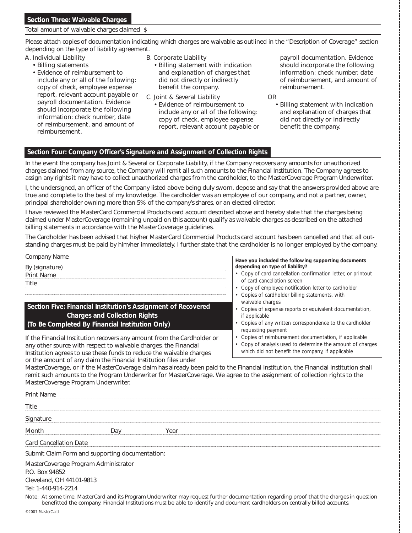#### Total amount of waivable charges claimed \$

Please attach copies of documentation indicating which charges are waivable as outlined in the *"Description of Coverage"* section depending on the type of liability agreement.

- A. Individual Liability
	- Billing statements
	- Evidence of reimbursement to include any or all of the following: copy of check, employee expense report, relevant account payable or payroll documentation. Evidence should incorporate the following information: check number, date of reimbursement, and amount of reimbursement.
- B. Corporate Liability
	- Billing statement with indication and explanation of charges that did not directly or indirectly benefit the company.
- C. Joint & Several Liability
	- Evidence of reimbursement to include any or all of the following: copy of check, employee expense report, relevant account payable or

payroll documentation. Evidence should incorporate the following information: check number, date of reimbursement, and amount of reimbursement.

- OR
	- Billing statement with indication and explanation of charges that did not directly or indirectly benefit the company.

#### *Section Four: Company Officer's Signature and Assignment of Collection Rights*

In the event the company has Joint & Several or Corporate Liability, if the Company recovers any amounts for unauthorized charges claimed from any source, the Company will remit all such amounts to the Financial Institution. The Company agrees to assign any rights it may have to collect unauthorized charges from the cardholder, to the MasterCoverage Program Underwriter.

I, the undersigned, an officer of the Company listed above being duly sworn, depose and say that the answers provided above are true and complete to the best of my knowledge. The cardholder was an employee of our company, and not a partner, owner, principal shareholder owning more than 5% of the company's shares, or an elected director.

I have reviewed the MasterCard Commercial Products card account described above and hereby state that the charges being claimed under MasterCoverage (remaining unpaid on this account) qualify as waivable charges as described on the attached billing statements in accordance with the MasterCoverage guidelines.

The Cardholder has been advised that his/her MasterCard Commercial Products card account has been cancelled and that all outstanding charges must be paid by him/her immediately. I further state that the cardholder is no longer employed by the company.

#### Company Name By (signature) Print Name Title

*Section Five: Financial Institution's Assignment of Recovered Charges and Collection Rights (To Be Completed By Financial Institution Only)*

If the Financial Institution recovers any amount from the Cardholder or any other source with respect to waivable charges, the Financial Institution agrees to use these funds to reduce the waivable charges or the amount of any claim the Financial Institution files under

*Have you included the following supporting documents depending on type of liability?*

- Copy of card cancellation confirmation letter, or printout of card cancellation screen
- Copy of employee notification letter to cardholder
- Copies of cardholder billing statements, with waivable charges
- Copies of expense reports or equivalent documentation, if applicable
- Copies of any written correspondence to the cardholder requesting payment
- Copies of reimbursement documentation, if applicable
- Copy of analysis used to determine the amount of charges
- which did not benefit the company, if applicable

MasterCoverage, or if the MasterCoverage claim has already been paid to the Financial Institution, the Financial Institution shall remit such amounts to the Program Underwriter for MasterCoverage. We agree to the assignment of collection rights to the MasterCoverage Program Underwriter.

| <b>Print Name</b> |                                                                                         |                                                 |                                                                                                                                                                                                                                                                             |
|-------------------|-----------------------------------------------------------------------------------------|-------------------------------------------------|-----------------------------------------------------------------------------------------------------------------------------------------------------------------------------------------------------------------------------------------------------------------------------|
| Title             |                                                                                         |                                                 |                                                                                                                                                                                                                                                                             |
| Signature         |                                                                                         |                                                 |                                                                                                                                                                                                                                                                             |
| Month             |                                                                                         | Dav                                             | Year                                                                                                                                                                                                                                                                        |
|                   | <b>Card Cancellation Date</b>                                                           |                                                 |                                                                                                                                                                                                                                                                             |
|                   |                                                                                         | Submit Claim Form and supporting documentation: |                                                                                                                                                                                                                                                                             |
| P.O. Box 94852    | MasterCoverage Program Administrator<br>Cleveland, OH 44101-9813<br>Tel: 1-440-914-2214 |                                                 |                                                                                                                                                                                                                                                                             |
|                   |                                                                                         |                                                 | Note: At some time, MasterCard and its Program Underwriter may request further documentation regarding proof that the charges in question<br>benefitted the company. Financial Institutions must be able to identify and document cardholders on centrally billed accounts. |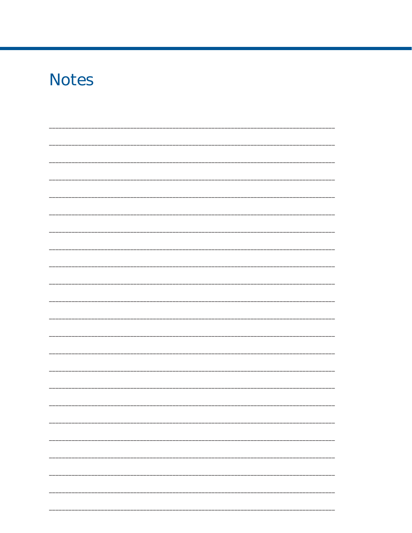# **Notes**  $\overline{\phantom{0}}$  $\overline{\phantom{0}}$ <u> 1999 - 1999 - 1999 - 1999 - 1999 - 1999 - 1999 - 1999 - 1999 - 1999 - 1999 - 1999 - 1999 - 1999 - 1999 - 19</u>  $\overline{\phantom{0}}$